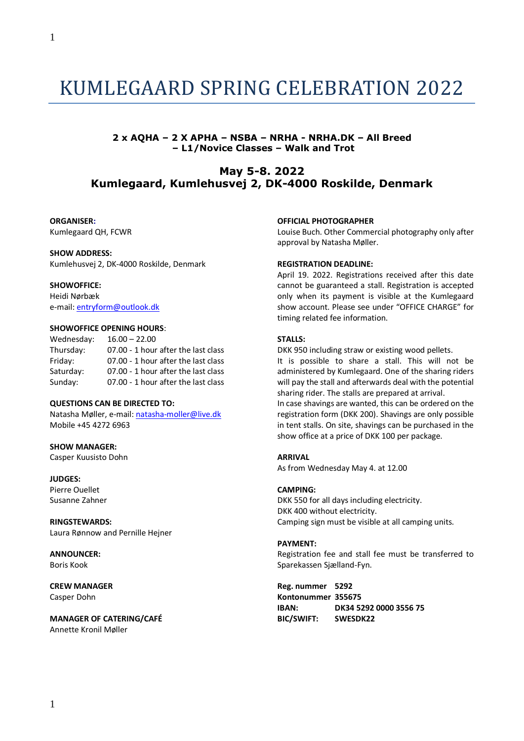1

# KUMLEGAARD SPRING CELEBRATION 2022

# **2 x AQHA – 2 X APHA – NSBA – NRHA - NRHA.DK – All Breed – L1/Novice Classes – Walk and Trot**

# **May 5-8. 2022 Kumlegaard, Kumlehusvej 2, DK-4000 Roskilde, Denmark**

# **ORGANISER:**

Kumlegaard QH, FCWR

# **SHOW ADDRESS:**

Kumlehusvej 2, DK-4000 Roskilde, Denmark

# **SHOWOFFICE:**

Heidi Nørbæk e-mail: [entryform@outlook.dk](mailto:entryform@outlook.dk)

# **SHOWOFFICE OPENING HOURS**:

| Wednesday: | $16.00 - 22.00$                     |
|------------|-------------------------------------|
| Thursday:  | 07.00 - 1 hour after the last class |
| Friday:    | 07.00 - 1 hour after the last class |
| Saturday:  | 07.00 - 1 hour after the last class |
| Sunday:    | 07.00 - 1 hour after the last class |

#### **QUESTIONS CAN BE DIRECTED TO:**

Natasha Møller, e-mail[: natasha-moller@live.dk](mailto:natasha-moller@live.dk) Mobile +45 4272 6963

**SHOW MANAGER:** Casper Kuusisto Dohn

**JUDGES:** Pierre Ouellet Susanne Zahner

# **RINGSTEWARDS:**

Laura Rønnow and Pernille Hejner

**ANNOUNCER:** Boris Kook

**CREW MANAGER** Casper Dohn

# **MANAGER OF CATERING/CAFÉ** Annette Kronil Møller

# **OFFICIAL PHOTOGRAPHER**

Louise Buch. Other Commercial photography only after approval by Natasha Møller.

# **REGISTRATION DEADLINE:**

April 19. 2022. Registrations received after this date cannot be guaranteed a stall. Registration is accepted only when its payment is visible at the Kumlegaard show account. Please see under "OFFICE CHARGE" for timing related fee information.

# **STALLS:**

DKK 950 including straw or existing wood pellets.

It is possible to share a stall. This will not be administered by Kumlegaard. One of the sharing riders will pay the stall and afterwards deal with the potential sharing rider. The stalls are prepared at arrival. In case shavings are wanted, this can be ordered on the registration form (DKK 200). Shavings are only possible in tent stalls. On site, shavings can be purchased in the show office at a price of DKK 100 per package.

# **ARRIVAL**

As from Wednesday May 4. at 12.00

#### **CAMPING:**

DKK 550 for all days including electricity. DKK 400 without electricity. Camping sign must be visible at all camping units.

# **PAYMENT:**

Registration fee and stall fee must be transferred to Sparekassen Sjælland-Fyn.

**Reg. nummer 5292 Kontonummer 355675 IBAN: DK34 5292 0000 3556 75 BIC/SWIFT: SWESDK22**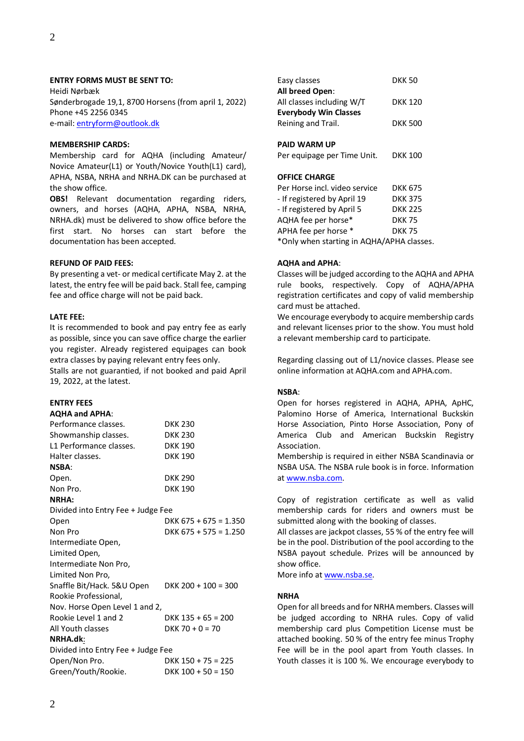# **ENTRY FORMS MUST BE SENT TO:**

Heidi Nørbæk Sønderbrogade 19,1, 8700 Horsens (from april 1, 2022) Phone +45 2256 0345 e-mail[: entryform@outlook.dk](mailto:entryform@outlook.dk)

#### **MEMBERSHIP CARDS:**

Membership card for AQHA (including Amateur/ Novice Amateur(L1) or Youth/Novice Youth(L1) card), APHA, NSBA, NRHA and NRHA.DK can be purchased at the show office.

**OBS!** Relevant documentation regarding riders, owners, and horses (AQHA, APHA, NSBA, NRHA, NRHA.dk) must be delivered to show office before the first start. No horses can start before the documentation has been accepted.

# **REFUND OF PAID FEES:**

By presenting a vet- or medical certificate May 2. at the latest, the entry fee will be paid back. Stall fee, camping fee and office charge will not be paid back.

# **LATE FEE:**

It is recommended to book and pay entry fee as early as possible, since you can save office charge the earlier you register. Already registered equipages can book extra classes by paying relevant entry fees only. Stalls are not guarantied, if not booked and paid April 19, 2022, at the latest.

# **ENTRY FEES**

| -------------         |
|-----------------------|
| <b>AQHA and APHA:</b> |
| Performance classes.  |

| Performance classes.               | <b>DKK 230</b>          |  |
|------------------------------------|-------------------------|--|
| Showmanship classes.               | <b>DKK 230</b>          |  |
| L1 Performance classes.            | <b>DKK 190</b>          |  |
| Halter classes.                    | <b>DKK 190</b>          |  |
| <b>NSBA:</b>                       |                         |  |
| Open.                              | <b>DKK 290</b>          |  |
| Non Pro.                           | <b>DKK 190</b>          |  |
| <b>NRHA:</b>                       |                         |  |
| Divided into Entry Fee + Judge Fee |                         |  |
| Open                               | DKK $675 + 675 = 1.350$ |  |
| Non Pro                            | DKK $675 + 575 = 1.250$ |  |
| Intermediate Open,                 |                         |  |
| Limited Open,                      |                         |  |
| Intermediate Non Pro,              |                         |  |
| Limited Non Pro,                   |                         |  |
| Snaffle Bit/Hack. 5&U Open         | DKK $200 + 100 = 300$   |  |
| Rookie Professional,               |                         |  |
| Nov. Horse Open Level 1 and 2,     |                         |  |
| Rookie Level 1 and 2               | DKK $135 + 65 = 200$    |  |
| All Youth classes                  | $DKK$ 70 + 0 = 70       |  |
| NRHA.dk:                           |                         |  |
| Divided into Entry Fee + Judge Fee |                         |  |
| Open/Non Pro.                      | DKK $150 + 75 = 225$    |  |
| Green/Youth/Rookie.                | $DKK$ 100 + 50 = 150    |  |
|                                    |                         |  |

| LUJY CIUJJCJ                  | טכ וווש        |
|-------------------------------|----------------|
| All breed Open:               |                |
| All classes including W/T     | DKK 120        |
| <b>Everybody Win Classes</b>  |                |
| Reining and Trail.            | <b>DKK 500</b> |
|                               |                |
| <b>PAID WARM UP</b>           |                |
| Per equipage per Time Unit.   | DKK 100        |
|                               |                |
| <b>OFFICE CHARGE</b>          |                |
| Per Horse incl. video service | <b>DKK 675</b> |
| - If registered by April 19   | DKK 375        |
| - If registered by April 5    | <b>DKK 225</b> |
| AQHA fee per horse*           | <b>DKK75</b>   |
| APHA fee per horse *          | <b>DKK 75</b>  |
|                               |                |

Easy classes DKK 50

\*Only when starting in AQHA/APHA classes.

# **AQHA and APHA**:

Classes will be judged according to the AQHA and APHA rule books, respectively. Copy of AQHA/APHA registration certificates and copy of valid membership card must be attached.

We encourage everybody to acquire membership cards and relevant licenses prior to the show. You must hold a relevant membership card to participate.

Regarding classing out of L1/novice classes. Please see online information at AQHA.com and APHA.com.

# **NSBA**:

Open for horses registered in AQHA, APHA, ApHC, Palomino Horse of America, International Buckskin Horse Association, Pinto Horse Association, Pony of America Club and American Buckskin Registry Association.

Membership is required in either NSBA Scandinavia or NSBA USA. The NSBA rule book is in force. Information at [www.nsba.com.](http://www.nsba.com/)

Copy of registration certificate as well as valid membership cards for riders and owners must be submitted along with the booking of classes.

All classes are jackpot classes, 55 % of the entry fee will be in the pool. Distribution of the pool according to the NSBA payout schedule. Prizes will be announced by show office.

More info at [www.nsba.se.](http://www.nsba.se/)

# **NRHA**

Open for all breeds and for NRHA members. Classes will be judged according to NRHA rules. Copy of valid membership card plus Competition License must be attached booking. 50 % of the entry fee minus Trophy Fee will be in the pool apart from Youth classes. In Youth classes it is 100 %. We encourage everybody to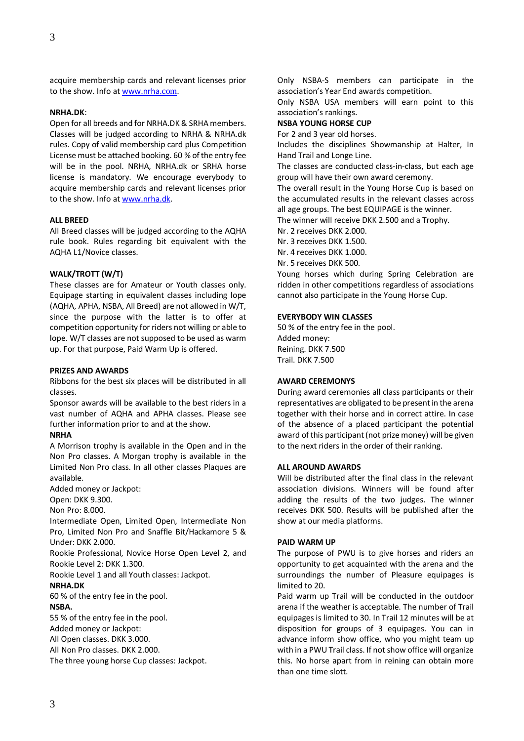acquire membership cards and relevant licenses prior to the show. Info a[t www.nrha.](http://www.nrha.com/)[com](http://www.nrha.com/).

# **NRHA.DK**:

Open for all breeds and for NRHA.DK & SRHA members. Classes will be judged according to NRHA & NRHA.dk rules. Copy of valid membership card plus Competition License must be attached booking. 60 % of the entry fee will be in the pool. NRHA, NRHA.dk or SRHA horse license is mandatory. We encourage everybody to acquire membership cards and relevant licenses prior to the show. Info at [www.nrha.dk.](http://www.nrha.dk/)

#### **ALL BREED**

All Breed classes will be judged according to the AQHA rule book. Rules regarding bit equivalent with the AQHA L1/Novice classes.

#### **WALK/TROTT (W/T)**

These classes are for Amateur or Youth classes only. Equipage starting in equivalent classes including lope (AQHA, APHA, NSBA, All Breed) are not allowed in W/T, since the purpose with the latter is to offer at competition opportunity for riders not willing or able to lope. W/T classes are not supposed to be used as warm up. For that purpose, Paid Warm Up is offered.

#### **PRIZES AND AWARDS**

Ribbons for the best six places will be distributed in all classes.

Sponsor awards will be available to the best riders in a vast number of AQHA and APHA classes. Please see further information prior to and at the show.

#### **NRHA**

A Morrison trophy is available in the Open and in the Non Pro classes. A Morgan trophy is available in the Limited Non Pro class. In all other classes Plaques are available.

Added money or Jackpot:

Open: DKK 9.300.

Non Pro: 8.000.

Intermediate Open, Limited Open, Intermediate Non Pro, Limited Non Pro and Snaffle Bit/Hackamore 5 & Under: DKK 2.000.

Rookie Professional, Novice Horse Open Level 2, and Rookie Level 2: DKK 1.300.

Rookie Level 1 and all Youth classes: Jackpot.

#### **NRHA.DK**

60 % of the entry fee in the pool.

#### **NSBA.**

55 % of the entry fee in the pool.

Added money or Jackpot:

All Open classes. DKK 3.000.

All Non Pro classes. DKK 2.000.

The three young horse Cup classes: Jackpot.

Only NSBA-S members can participate in the association's Year End awards competition.

Only NSBA USA members will earn point to this association's rankings.

# **NSBA YOUNG HORSE CUP**

For 2 and 3 year old horses.

Includes the disciplines Showmanship at Halter, In Hand Trail and Longe Line.

The classes are conducted class-in-class, but each age group will have their own award ceremony.

The overall result in the Young Horse Cup is based on the accumulated results in the relevant classes across all age groups. The best EQUIPAGE is the winner.

The winner will receive DKK 2.500 and a Trophy.

Nr. 2 receives DKK 2.000.

Nr. 3 receives DKK 1.500.

Nr. 4 receives DKK 1.000.

Nr. 5 receives DKK 500.

Young horses which during Spring Celebration are ridden in other competitions regardless of associations cannot also participate in the Young Horse Cup.

#### **EVERYBODY WIN CLASSES**

50 % of the entry fee in the pool. Added money: Reining. DKK 7.500 Trail. DKK 7.500

#### **AWARD CEREMONYS**

During award ceremonies all class participants or their representatives are obligated to be present in the arena together with their horse and in correct attire. In case of the absence of a placed participant the potential award of this participant (not prize money) will be given to the next riders in the order of their ranking.

# **ALL AROUND AWARDS**

Will be distributed after the final class in the relevant association divisions. Winners will be found after adding the results of the two judges. The winner receives DKK 500. Results will be published after the show at our media platforms.

#### **PAID WARM UP**

The purpose of PWU is to give horses and riders an opportunity to get acquainted with the arena and the surroundings the number of Pleasure equipages is limited to 20.

Paid warm up Trail will be conducted in the outdoor arena if the weather is acceptable. The number of Trail equipages is limited to 30. In Trail 12 minutes will be at disposition for groups of 3 equipages. You can in advance inform show office, who you might team up with in a PWU Trail class. If not show office will organize this. No horse apart from in reining can obtain more than one time slott.